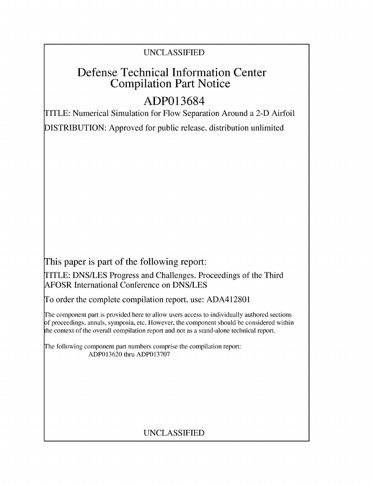# UNCLASSIFIED

# Defense Technical Information Center Compilation Part Notice

# **ADP013684**

TITLE: Numerical Simulation for Flow Separation Around a 2-D Airfoil

DISTRIBUTION: Approved for public release, distribution unlimited

This paper is part of the following report:

TITLE: DNS/LES Progress and Challenges. Proceedings of the Third AFOSR International Conference on DNS/LES

To order the complete compilation report, use: ADA412801

The component part is provided here to allow users access to individually authored sections f proceedings, annals, symposia, etc. However, the component should be considered within the context of the overall compilation report and not as a stand-alone technical report.

The following component part numbers comprise the compilation report: ADP013620 thru ADP013707

# UNCLASSIFIED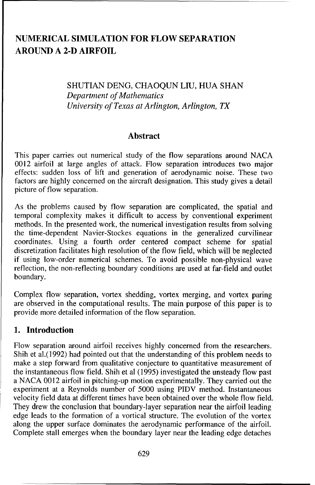## **NUMERICAL SIMULATION** FOR FLOW **SEPARATION AROUND A 2-D** AIRFOIL

#### SHUTIAN DENG, CHAOQUN LIU, HUA SHAN *Department of Mathematics University of Texas at Arlington, Arlington, TX*

#### Abstract

This paper carries out numerical study of the flow separations around NACA 0012 airfoil at large angles of attack. Flow separation introduces two major effects: sudden loss of lift and generation of aerodynamic noise. These two factors are highly concerned on the aircraft designation. This study gives a detail picture of flow separation.

As the problems caused by flow separation are complicated, the spatial and temporal complexity makes it difficult to access by conventional experiment methods. In the presented work, the numerical investigation results from solving the time-dependent Navier-Stockes equations in the generalized curvilinear coordinates. Using a fourth order centered compact scheme for spatial discretization facilitates high resolution of the flow field, which will be neglected if using low-order numerical schemes. To avoid possible non-physical wave reflection, the non-reflecting boundary conditions are used at far-field and outlet boundary.

Complex flow separation, vortex shedding, vortex merging, and vortex paring are observed in the computational results. The main purpose of this paper is to provide more detailed information of the flow separation.

### **1.** Introduction

Flow separation around airfoil receives highly concerned from the researchers. Shih et al.(1992) had pointed out that the understanding of this problem needs to make a step forward from qualitative conjecture to quantitative measurement of the instantaneous flow field. Shih et al (1995) investigated the unsteady flow past a NACA 0012 airfoil in pitching-up motion experimentally. They carried out the experiment at a Reynolds number of 5000 using PIDV method. Instantaneous velocity field data at different times have been obtained over the whole flow field. They drew the conclusion that boundary-layer separation near the airfoil leading edge leads to the formation of a vortical structure. The evolution of the vortex along the upper surface dominates the aerodynamic performance of the airfoil. Complete stall emerges when the boundary layer near the leading edge detaches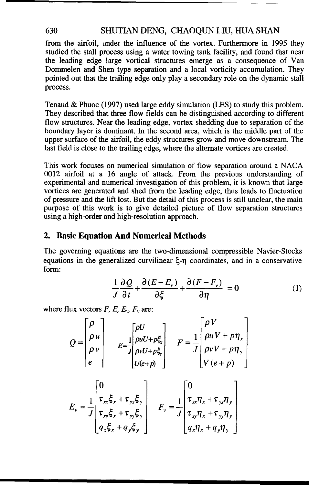#### 630 SHUTIAN DENG, CHAOQUN LIU, HUA SHAN

from the airfoil, under the influence of the vortex. Furthermore in 1995 they studied the stall process using a water towing tank facility, and found that near the leading edge large vortical structures emerge as a consequence of Van Dommelen and Shen type separation and a local vorticity accumulation. They pointed out that the trailing edge only play a secondary role on the dynamic stall process.

Tenaud & Phuoc (1997) used large eddy simulation (LES) to study this problem. They described that three flow fields can be distinguished according to different flow structures. Near the leading edge, vortex shedding due to separation of the boundary layer is dominant. In the second area, which is the middle part of the upper surface of the airfoil, the eddy structures grow and move downstream. The last field is close to the trailing edge, where the alternate vortices are created.

This work focuses on numerical simulation of flow separation around a NACA 0012 airfoil at a 16 angle of attack. From the previous understanding of experimental and numerical investigation of this problem, it is known that large vortices are generated and shed from the leading edge, thus leads to fluctuation of pressure and the lift lost. But the detail of this process is still unclear, the main purpose of this work is to give detailed picture of flow separation structures using a high-order and high-resolution approach.

#### 2. Basic Equation And Numerical Methods

The governing equations are the two-dimensional compressible Navier-Stocks equations in the generalized curvilinear  $\xi$ -n coordinates, and in a conservative form:

$$
\frac{1}{J}\frac{\partial Q}{\partial t} + \frac{\partial (E - E_{\nu})}{\partial \xi} + \frac{\partial (F - F_{\nu})}{\partial \eta} = 0
$$
 (1)

where flux vectors  $F$ ,  $E$ ,  $E_v$ ,  $F_v$  are:

$$
Q = \begin{bmatrix} \rho \\ \rho u \\ \rho v \\ e \end{bmatrix} \begin{bmatrix} \rho U \\ \rho u U + p\xi \\ E = \frac{1}{J} \begin{bmatrix} \rho U \\ \rho u U + p\xi \\ \rho v U + p\xi \end{bmatrix} & F = \frac{1}{J} \begin{bmatrix} \rho V \\ \rho u V + p\eta_x \\ \rho v V + p\eta_y \\ V(e + p) \end{bmatrix}
$$

$$
E_{v} = \frac{1}{J} \begin{bmatrix} 0 \\ \tau_{xx}\xi_{x} + \tau_{yx}\xi_{y} \\ \tau_{xy}\xi_{x} + \tau_{yy}\xi_{y} \\ q_{x}\xi_{x} + q_{y}\xi_{y} \end{bmatrix} \quad F_{v} = \frac{1}{J} \begin{bmatrix} 0 \\ \tau_{xx}\eta_{x} + \tau_{yx}\eta_{y} \\ \tau_{xy}\eta_{x} + \tau_{yy}\eta_{y} \\ q_{x}\eta_{x} + q_{y}\eta_{y} \end{bmatrix}
$$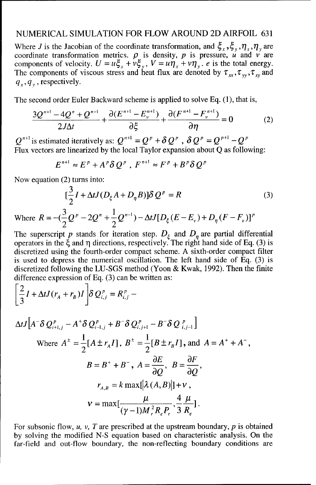#### NUMERICAL SIMULATION FOR FLOW AROUND 2D AIRFOIL 631

Where *J* is the Jacobian of the coordinate transformation, and  $\xi_x, \xi_y, \eta_x, \eta_y$  are coordinate transformation metrics.  $\rho$  is density, p is pressure,  $\vec{u}$  and  $\vec{v}$  are components of velocity.  $U = u \xi_x + v \xi_y$ ,  $V = u \eta_x + v \eta_y$ . *e* is the total energy. The components of viscous stress and heat flux are denoted by  $\tau_{xx},\tau_{yy},\tau_{xy}$  and  $q_y, q_y$ , respectively.

The second order Euler Backward scheme is applied to solve Eq. (1), that is,

$$
\frac{3Q^{n+1}-4Q^n+Q^{n-1}}{2J\Delta t}+\frac{\partial(E^{n+1}-E^{n+1}_{\nu})}{\partial \xi}+\frac{\partial(F^{n+1}-F^{n+1}_{\nu})}{\partial \eta}=0
$$
 (2)

 $Q^{n+1}$  is estimated iteratively as:  $Q^{n+1} = Q^p + \delta Q^p$ ,  $\delta Q^p = Q^{p+1} - Q^p$ Flux vectors are linearized by the local Taylor expansion about  $\widetilde{O}$  as following:

$$
E^{n+1} \approx E^p + A^p \delta Q^p , F^{n+1} \approx F^p + B^p \delta Q^p
$$

Now equation (2) turns into:

$$
[\frac{3}{2}I + \Delta t J(D_{\xi}A + D_{\eta}B)]\delta Q^{p} = R
$$
\n
$$
= -(\frac{3}{2}Q^{p} - 2Q^{n} + \frac{1}{2}Q^{n-1}) - \Delta t J[D_{\xi}(E - E_{\xi}) + D_{\xi}(F - E_{\eta})]^{p}
$$
\n(3)

Where  $R = -(\frac{3}{2}Q^{p} - 2Q^{n} + \frac{1}{2}Q^{n-1}) - \Delta t J[D_{\xi}(E - E_{\nu}) + D_{n}(F - F_{\nu})]^{p}$  $2^{\sim}$  2 The superscript p stands for iteration step.  $D_{\varepsilon}$  and  $D_n$  are partial differential

operators in the ξ and η directions, respectively. The right hand side of Eq. (3) is discretized using the fourth-order compact scheme. A sixth-order compact filter is used to depress the numerical oscillation. The left hand side of Eq. (3) is discretized following the LU-SGS method (Yoon & Kwak, 1992). Then the finite difference expression of Eq. (3) can be written as:

$$
\left[\frac{2}{3}I + \Delta t J(r_A + r_B)I\right]\delta Q_{i,j}^p = R_{i,j}^p -
$$

$$
\Delta t J \Big[ A^- \delta Q_{i+1,j}^p - A^+ \delta Q_{i-1,j}^p + B^- \delta Q_{i,j+1}^p - B^- \delta Q_{i,j-1}^p \Big]
$$
  
\nWhere  $A^{\pm} = \frac{1}{2} [A \pm r_A I], B^{\pm} = \frac{1}{2} [B \pm r_B I],$  and  $A = A^+ + A^-$ ,  
\n $B = B^+ + B^-$ ,  $A = \frac{\partial E}{\partial Q}, B = \frac{\partial F}{\partial Q},$   
\n $r_{A,B} = k \max [\lambda(A,B)] + v,$   
\n $v = \max [\frac{\mu}{(\gamma - 1)M_r^2 R_r P_r}, \frac{4}{3} \frac{\mu}{R_r}].$ 

For subsonic flow, *u, v, T* are prescribed at the upstream boundary, p is obtained by solving the modified N-S equation based on characteristic analysis. On the far-field and out-flow boundary, the non-reflecting boundary conditions are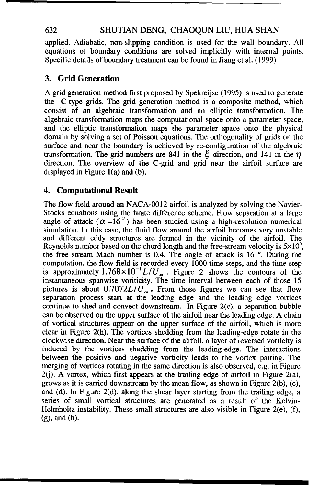#### 632 SHUTIAN DENG, CHAOQUN LIU, HUA SHAN

applied. Adiabatic, non-slipping condition is used for the wall boundary. All equations of boundary conditions are solved implicitly with internal points. Specific details of boundary treatment can be found in Jiang et al. (1999)

#### **3.** Grid Generation

A grid generation method first proposed by Spekreijse (1995) is used to generate the C-type grids. The grid generation method is a composite method, which consist of an algebraic transformation and an elliptic transformation. The algebraic transformation maps the computational space onto a parameter space, and the elliptic transformation maps the parameter space onto the physical domain by solving a set of Poisson equations. The orthogonality of grids on the surface and near the boundary is achieved by re-configuration of the algebraic transformation. The grid numbers are 841 in the  $\xi$  direction, and 141 in the  $\eta$ direction. The overview of the C-grid and grid near the airfoil surface are displayed in Figure l(a) and (b).

#### 4. Computational Result

The flow field around an NACA-0012 airfoil is analyzed by solving the Navier-Stocks equations using the finite difference scheme. Flow separation at a large angle of attack  $(\alpha = 16^\circ)$  has been studied using a high-resolution numerical simulation. In this case, the fluid flow around the airfoil becomes very unstable and different eddy structures are formed in the vicinity of the airfoil. The Reynolds number based on the chord length and the free-stream velocity is  $5 \times 10^5$ , the free stream Mach number is 0.4. The angle of attack is 16 **o.** During the computation, the flow field is recorded every 1000 time steps, and the time step is approximately  $1.768 \times 10^{-4} L/U_{\infty}$ . Figure 2 shows the contours of the instantaneous spanwise voriticity. The time interval between each of those 15 pictures is about  $0.7072L/U_{\odot}$ . From those figures we can see that flow separation process start at the leading edge and the leading edge vortices continue to shed and convect downstream. In Figure 2(c), a separation bubble can be observed on the upper surface of the airfoil near the leading edge. A chain of vortical structures appear on the upper surface of the airfoil, which is more clear in Figure 2(h). The vortices shedding from the leading-edge rotate in the clockwise direction. Near the surface of the airfoil, a layer of reversed vorticity is induced by the vortices shedding from the leading-edge. The interactions between the positive and negative vorticity leads to the vortex pairing. The merging of vortices rotating in the same direction is also observed, e.g. in Figure  $2(i)$ . A vortex, which first appears at the trailing edge of airfoil in Figure  $2(a)$ , grows as it is carried downstream by the mean flow, as shown in Figure 2(b), (c), and (d). In Figure 2(d), along the shear layer starting from the trailing edge, a series of small vortical structures are generated as a result of the Kelvin-Helmholtz instability. These small structures are also visible in Figure 2(e), (f), (g), and (h).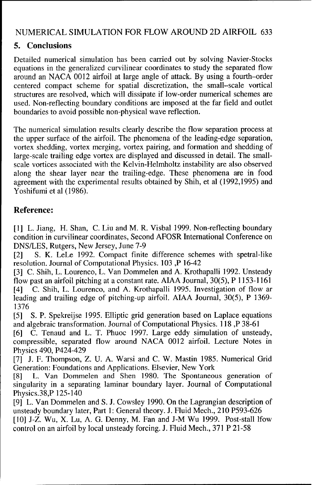#### NUMERICAL SIMULATION FOR FLOW AROUND 2D AIRFOIL 633

#### 5. Conclusions

Detailed numerical simulation has been carried out by solving Navier-Stocks equations in the generalized curvilinear coordinates to study the separated flow around an NACA 0012 airfoil at large angle of attack. By using a fourth-order centered compact scheme for spatial discretization, the small-scale vortical structures are resolved, which will dissipate if low-order numerical schemes are used. Non-reflecting boundary conditions are imposed at the far field and outlet boundaries to avoid possible non-physical wave reflection.

The numerical simulation results clearly describe the flow separation process at the upper surface of the airfoil. The phenomena of the leading-edge separation, vortex shedding, vortex merging, vortex pairing, and formation and shedding of large-scale trailing edge vortex are displayed and discussed in detail. The smallscale vortices associated with the Kelvin-Helmholtz instability are also observed along the shear layer near the trailing-edge. These phenomena are in food agreement with the experimental results obtained by Shih, et al (1992,1995) and Yoshifumi et al (1986).

#### Reference:

[1] L. Jiang, H. Shan, C. Liu and M. R. Visbal 1999. Non-reflecting boundary condition in curvilinear coordinates, Second AFOSR International Conference on DNS/LES, Rutgers, New Jersey, June 7-9

[2] **S.** K. LeLe 1992. Compact finite difference schemes with spetral-like resolution. Journal of Computational Physics. 103 ,P 16-42

[3] C. Shih, L. Lourenco, L. Van Dommelen and A. Krothapalli 1992. Unsteady flow past an airfoil pitching at a constant rate. AIAA Journal, 30(5), P 1153-1161 [4] C. Shih, L. Lourenco, and A. Krothapalli 1995. Investigation of flow ar leading and trailing edge of pitching-up airfoil. AIAA Journal, 30(5), P 1369- 1376

[5] **S.** P. Spekreijse 1995. Elliptic grid generation based on Laplace equations and algebraic transformation. Journal of Computational Physics. 118 ,P 38-61

[6] C. Tenaud and L. T. Phuoc 1997. Large eddy simulation of unsteady, compressible, separated flow around NACA 0012 airfoil. Lecture Notes in Physics 490, P424-429

[7] J. F. Thompson, Z. U. A. Warsi and C. W. Mastin 1985. Numerical Grid Generation: Foundations and Applications. Elsevier, New York

[8] L. Van Dommelen and Shen 1980. The Spontaneous generation of singularity in a separating laminar boundary layer. Journal of Computational Physics.38,P 125-140

[9] L. Van Dommelen and S. J. Cowsley 1990. On the Lagrangian description of unsteady boundary later, Part 1: General theory. J. Fluid Mech., 210 P593-626 [10] J-Z. Wu, X. Lu, A. G. Denny, M. Fan and J-M Wu 1999. Post-stall lfow

control on an airfoil by local unsteady forcing. J. Fluid Mech., 371 P 21-58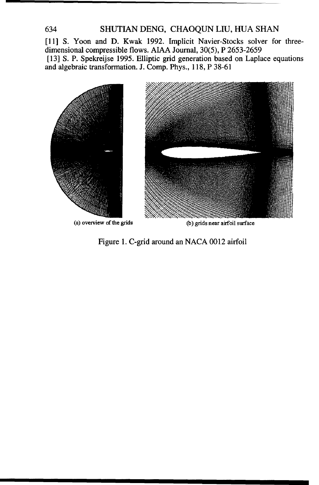#### 634 SHUTIAN DENG, CHAOQUN **LIU,** HUA SHAN

[11] S. Yoon and D. Kwak 1992. Implicit Navier-Stocks solver for threedimensional compressible flows. AIAA Journal, 30(5), P 2653-2659 [13] S. P. Spekreijse 1995. Elliptic grid generation based on Laplace equations and algebraic transformation. J. Comp. Phys., 118, P 38-61



(a) overview of the grids (b) grids near airfoil surface

Figure 1. C-grid around an NACA 0012 airfoil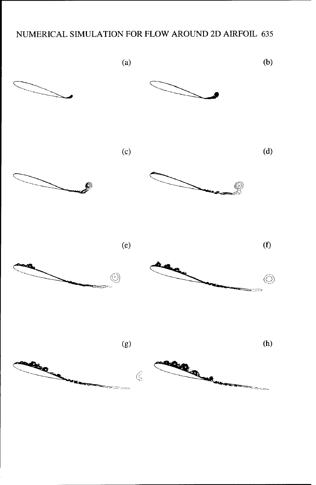### NUMERICAL SIMULATION FOR FLOW AROUND 2D AIRFOIL 635